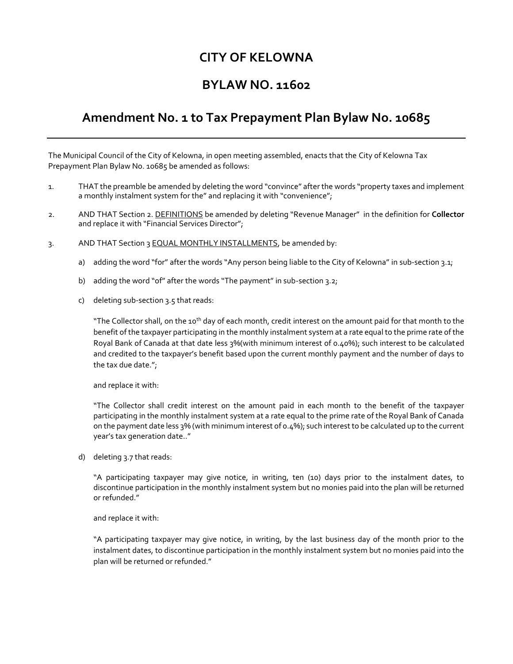## **CITY OF KELOWNA**

## **BYLAW NO. 11602**

## **Amendment No. 1 to Tax Prepayment Plan Bylaw No. 10685**

The Municipal Council of the City of Kelowna, in open meeting assembled, enacts that the City of Kelowna Tax Prepayment Plan Bylaw No. 10685 be amended as follows:

- 1. THAT the preamble be amended by deleting the word "convince" after the words "property taxes and implement a monthly instalment system for the" and replacing it with "convenience";
- 2. AND THAT Section 2. DEFINITIONS be amended by deleting "Revenue Manager" in the definition for **Collector** and replace it with "Financial Services Director";
- 3. AND THAT Section 3 EQUAL MONTHLY INSTALLMENTS, be amended by:
	- a) adding the word "for" after the words "Any person being liable to the City of Kelowna" in sub-section 3.1;
	- b) adding the word "of" after the words "The payment" in sub-section 3.2;
	- c) deleting sub-section 3.5 that reads:

"The Collector shall, on the 10<sup>th</sup> day of each month, credit interest on the amount paid for that month to the benefit of the taxpayer participating in the monthly instalment system at a rate equal to the prime rate of the Royal Bank of Canada at that date less 3%(with minimum interest of 0.40%); such interest to be calculated and credited to the taxpayer's benefit based upon the current monthly payment and the number of days to the tax due date.";

and replace it with:

"The Collector shall credit interest on the amount paid in each month to the benefit of the taxpayer participating in the monthly instalment system at a rate equal to the prime rate of the Royal Bank of Canada on the payment date less 3% (with minimum interest of 0.4%); such interest to be calculated up to the current year's tax generation date.."

d) deleting 3.7 that reads:

"A participating taxpayer may give notice, in writing, ten (10) days prior to the instalment dates, to discontinue participation in the monthly instalment system but no monies paid into the plan will be returned or refunded."

and replace it with:

"A participating taxpayer may give notice, in writing, by the last business day of the month prior to the instalment dates, to discontinue participation in the monthly instalment system but no monies paid into the plan will be returned or refunded."